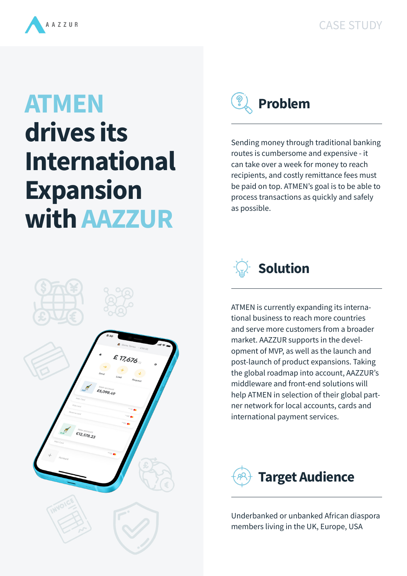



## **ATMEN drives its International Expansion with AAZZUR**



Sending money through traditional banking routes is cumbersome and expensive - it can take over a week for money to reach recipients, and costly remittance fees must be paid on top. ATMEN's goal is to be able to process transactions as quickly and safely as possible.



ATMEN is currently expanding its international business to reach more countries and serve more customers from a broader market. AAZZUR supports in the development of MVP, as well as the launch and post-launch of product expansions. Taking the global roadmap into account, AAZZUR's middleware and front-end solutions will help ATMEN in selection of their global partner network for local accounts, cards and international payment services.



Underbanked or unbanked African diaspora members living in the UK, Europe, USA